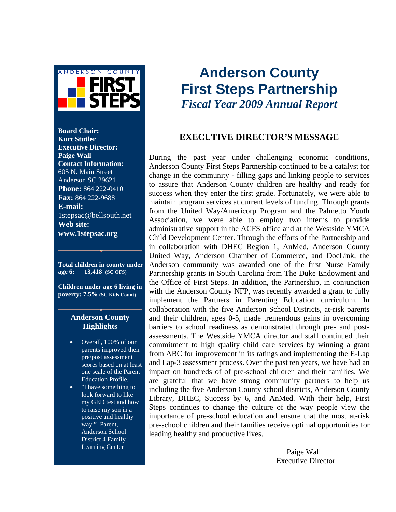

**Board Chair: Kurt Stutler Executive Director: Paige Wall Contact Information:**  605 N. Main Street Anderson SC 29621 **Phone:** 864 222-0410 **Fax:** 864 222-9688 **E-mail:**  1stepsac@bellsouth.net **Web site: www.1stepsac.org**

**Total children in county under age 6: 13,418 (SC OFS)**

**Children under age 6 living in poverty: 7.5% (SC Kids Count)**

#### **Anderson County Highlights**

- Overall, 100% of our parents improved their pre/post assessment scores based on at least one scale of the Parent Education Profile.
- "I have something to look forward to like my GED test and how to raise my son in a positive and healthy way." Parent, Anderson School District 4 Family Learning Center

# **Anderson County First Steps Partnership**  *Fiscal Year 2009 Annual Report*

#### **EXECUTIVE DIRECTOR'S MESSAGE**

During the past year under challenging economic conditions, Anderson County First Steps Partnership continued to be a catalyst for change in the community - filling gaps and linking people to services to assure that Anderson County children are healthy and ready for success when they enter the first grade. Fortunately, we were able to maintain program services at current levels of funding. Through grants from the United Way/Americorp Program and the Palmetto Youth Association, we were able to employ two interns to provide administrative support in the ACFS office and at the Westside YMCA Child Development Center. Through the efforts of the Partnership and in collaboration with DHEC Region 1, AnMed, Anderson County United Way, Anderson Chamber of Commerce, and DocLink, the Anderson community was awarded one of the first Nurse Family Partnership grants in South Carolina from The Duke Endowment and the Office of First Steps. In addition, the Partnership, in conjunction with the Anderson County NFP, was recently awarded a grant to fully implement the Partners in Parenting Education curriculum. In collaboration with the five Anderson School Districts, at-risk parents and their children, ages 0-5, made tremendous gains in overcoming barriers to school readiness as demonstrated through pre- and postassessments. The Westside YMCA director and staff continued their commitment to high quality child care services by winning a grant from ABC for improvement in its ratings and implementing the E-Lap and Lap-3 assessment process. Over the past ten years, we have had an impact on hundreds of of pre-school children and their families. We are grateful that we have strong community partners to help us including the five Anderson County school districts, Anderson County Library, DHEC, Success by 6, and AnMed. With their help, First Steps continues to change the culture of the way people view the importance of pre-school education and ensure that the most at-risk pre-school children and their families receive optimal opportunities for leading healthy and productive lives.

> Paige Wall Executive Director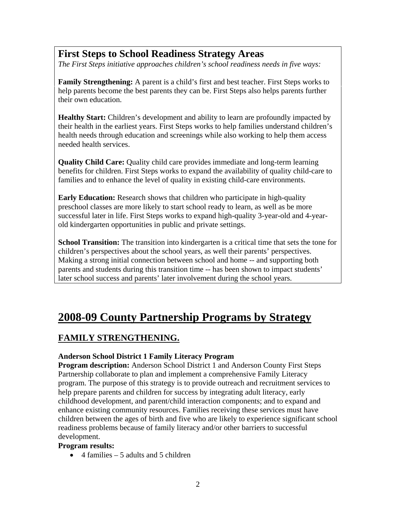## **First Steps to School Readiness Strategy Areas**

*The First Steps initiative approaches children's school readiness needs in five ways:* 

**Family Strengthening:** A parent is a child's first and best teacher. First Steps works to help parents become the best parents they can be. First Steps also helps parents further their own education.

**Healthy Start:** Children's development and ability to learn are profoundly impacted by their health in the earliest years. First Steps works to help families understand children's health needs through education and screenings while also working to help them access needed health services.

**Quality Child Care:** Quality child care provides immediate and long-term learning benefits for children. First Steps works to expand the availability of quality child-care to families and to enhance the level of quality in existing child-care environments.

**Early Education:** Research shows that children who participate in high-quality preschool classes are more likely to start school ready to learn, as well as be more successful later in life. First Steps works to expand high-quality 3-year-old and 4-yearold kindergarten opportunities in public and private settings.

**School Transition:** The transition into kindergarten is a critical time that sets the tone for children's perspectives about the school years, as well their parents' perspectives. Making a strong initial connection between school and home -- and supporting both parents and students during this transition time -- has been shown to impact students' later school success and parents' later involvement during the school years.

# **2008-09 County Partnership Programs by Strategy**

## **FAMILY STRENGTHENING.**

#### **Anderson School District 1 Family Literacy Program**

**Program description:** Anderson School District 1 and Anderson County First Steps Partnership collaborate to plan and implement a comprehensive Family Literacy program. The purpose of this strategy is to provide outreach and recruitment services to help prepare parents and children for success by integrating adult literacy, early childhood development, and parent/child interaction components; and to expand and enhance existing community resources. Families receiving these services must have children between the ages of birth and five who are likely to experience significant school readiness problems because of family literacy and/or other barriers to successful development.

#### **Program results:**

• 4 families  $-5$  adults and 5 children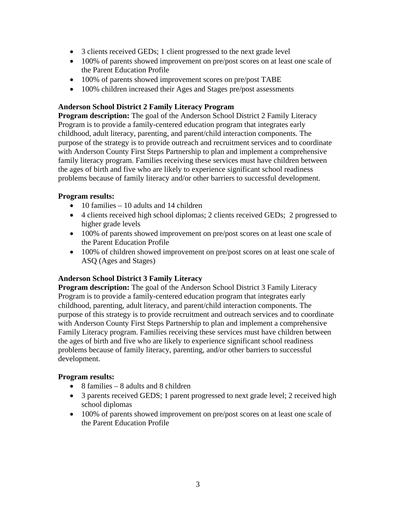- 3 clients received GEDs; 1 client progressed to the next grade level
- 100% of parents showed improvement on pre/post scores on at least one scale of the Parent Education Profile
- 100% of parents showed improvement scores on pre/post TABE
- 100% children increased their Ages and Stages pre/post assessments

#### **Anderson School District 2 Family Literacy Program**

**Program description:** The goal of the Anderson School District 2 Family Literacy Program is to provide a family-centered education program that integrates early childhood, adult literacy, parenting, and parent/child interaction components. The purpose of the strategy is to provide outreach and recruitment services and to coordinate with Anderson County First Steps Partnership to plan and implement a comprehensive family literacy program. Families receiving these services must have children between the ages of birth and five who are likely to experience significant school readiness problems because of family literacy and/or other barriers to successful development.

#### **Program results:**

- $\bullet$  10 families 10 adults and 14 children
- 4 clients received high school diplomas; 2 clients received GEDs; 2 progressed to higher grade levels
- 100% of parents showed improvement on pre/post scores on at least one scale of the Parent Education Profile
- 100% of children showed improvement on pre/post scores on at least one scale of ASQ (Ages and Stages)

#### **Anderson School District 3 Family Literacy**

**Program description:** The goal of the Anderson School District 3 Family Literacy Program is to provide a family-centered education program that integrates early childhood, parenting, adult literacy, and parent/child interaction components. The purpose of this strategy is to provide recruitment and outreach services and to coordinate with Anderson County First Steps Partnership to plan and implement a comprehensive Family Literacy program. Families receiving these services must have children between the ages of birth and five who are likely to experience significant school readiness problems because of family literacy, parenting, and/or other barriers to successful development.

#### **Program results:**

- 8 families 8 adults and 8 children
- 3 parents received GEDS; 1 parent progressed to next grade level; 2 received high school diplomas
- 100% of parents showed improvement on pre/post scores on at least one scale of the Parent Education Profile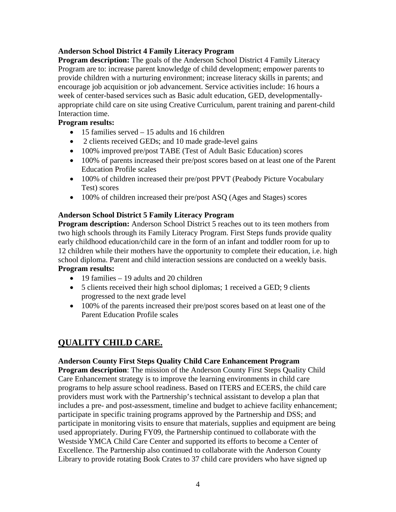#### **Anderson School District 4 Family Literacy Program**

**Program description:** The goals of the Anderson School District 4 Family Literacy Program are to: increase parent knowledge of child development; empower parents to provide children with a nurturing environment; increase literacy skills in parents; and encourage job acquisition or job advancement. Service activities include: 16 hours a week of center-based services such as Basic adult education, GED, developmentallyappropriate child care on site using Creative Curriculum, parent training and parent-child Interaction time.

#### **Program results:**

- 15 families served 15 adults and 16 children
- 2 clients received GEDs; and 10 made grade-level gains
- 100% improved pre/post TABE (Test of Adult Basic Education) scores
- 100% of parents increased their pre/post scores based on at least one of the Parent Education Profile scales
- 100% of children increased their pre/post PPVT (Peabody Picture Vocabulary Test) scores
- 100% of children increased their pre/post ASQ (Ages and Stages) scores

#### **Anderson School District 5 Family Literacy Program**

**Program description:** Anderson School District 5 reaches out to its teen mothers from two high schools through its Family Literacy Program. First Steps funds provide quality early childhood education/child care in the form of an infant and toddler room for up to 12 children while their mothers have the opportunity to complete their education, i.e. high school diploma. Parent and child interaction sessions are conducted on a weekly basis. **Program results:** 

- 19 families 19 adults and 20 children
- 5 clients received their high school diplomas; 1 received a GED; 9 clients progressed to the next grade level
- 100% of the parents increased their pre/post scores based on at least one of the Parent Education Profile scales

### **QUALITY CHILD CARE.**

#### **Anderson County First Steps Quality Child Care Enhancement Program**

**Program description**: The mission of the Anderson County First Steps Quality Child Care Enhancement strategy is to improve the learning environments in child care programs to help assure school readiness. Based on ITERS and ECERS, the child care providers must work with the Partnership's technical assistant to develop a plan that includes a pre- and post-assessment, timeline and budget to achieve facility enhancement; participate in specific training programs approved by the Partnership and DSS; and participate in monitoring visits to ensure that materials, supplies and equipment are being used appropriately. During FY09, the Partnership continued to collaborate with the Westside YMCA Child Care Center and supported its efforts to become a Center of Excellence. The Partnership also continued to collaborate with the Anderson County Library to provide rotating Book Crates to 37 child care providers who have signed up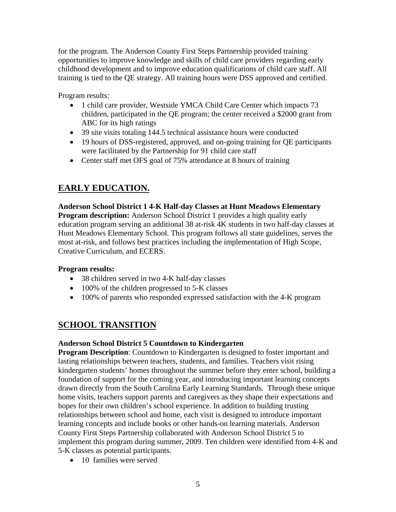for the program. The Anderson County First Steps Partnership provided training opportunities to improve knowledge and skills of child care providers regarding early childhood development and to improve education qualifications of child care staff. All training is tied to the QE strategy. All training hours were DSS approved and certified.

Program results:

- 1 child care provider, Westside YMCA Child Care Center which impacts 73 children, participated in the QE program; the center received a \$2000 grant from ABC for its high ratings
- 39 site visits totaling 144.5 technical assistance hours were conducted
- 19 hours of DSS-registered, approved, and on-going training for QE participants were facilitated by the Partnership for 91 child care staff
- Center staff met OFS goal of 75% attendance at 8 hours of training

## **EARLY EDUCATION.**

**Anderson School District 1 4-K Half-day Classes at Hunt Meadows Elementary Program description:** Anderson School District 1 provides a high quality early education program serving an additional 38 at-risk 4K students in two half-day classes at Hunt Meadows Elementary School. This program follows all state guidelines, serves the most at-risk, and follows best practices including the implementation of High Scope, Creative Curriculum, and ECERS.

#### **Program results:**

- 38 children served in two 4-K half-day classes
- 100% of the children progressed to 5-K classes
- 100% of parents who responded expressed satisfaction with the 4-K program

## **SCHOOL TRANSITION**

#### **Anderson School District 5 Countdown to Kindergarten**

**Program Description**: Countdown to Kindergarten is designed to foster important and lasting relationships between teachers, students, and families. Teachers visit rising kindergarten students' homes throughout the summer before they enter school, building a foundation of support for the coming year, and introducing important learning concepts drawn directly from the South Carolina Early Learning Standards. Through these unique home visits, teachers support parents and caregivers as they shape their expectations and hopes for their own children's school experience. In addition to building trusting relationships between school and home, each visit is designed to introduce important learning concepts and include books or other hands-on learning materials. Anderson County First Steps Partnership collaborated with Anderson School District 5 to implement this program during summer, 2009. Ten children were identified from 4-K and 5-K classes as potential participants.

• 10 families were served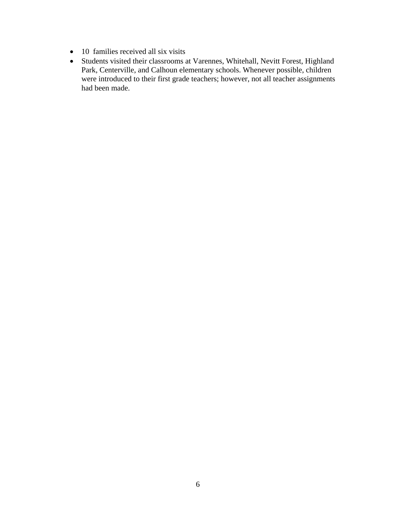- 10 families received all six visits
- Students visited their classrooms at Varennes, Whitehall, Nevitt Forest, Highland Park, Centerville, and Calhoun elementary schools. Whenever possible, children were introduced to their first grade teachers; however, not all teacher assignments had been made.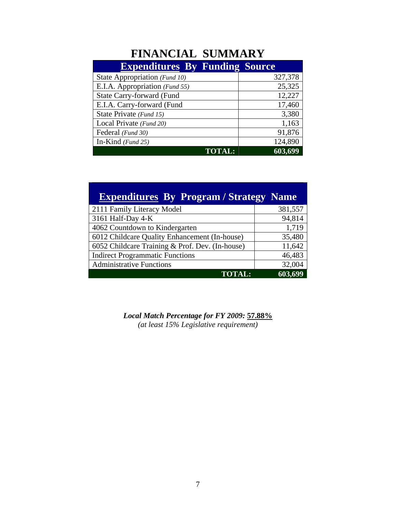# **FINANCIAL SUMMARY**

| <b>Expenditures By Funding Source</b> |         |
|---------------------------------------|---------|
| State Appropriation (Fund 10)         | 327,378 |
| E.I.A. Appropriation (Fund 55)        | 25,325  |
| State Carry-forward (Fund             | 12,227  |
| E.I.A. Carry-forward (Fund            | 17,460  |
| State Private (Fund 15)               | 3,380   |
| Local Private (Fund 20)               | 1,163   |
| Federal (Fund 30)                     | 91,876  |
| In-Kind $(Fund 25)$                   | 124,890 |
| <b>TOTAL:</b>                         | 603,699 |

| <b>Expenditures By Program / Strategy Name</b>  |         |  |
|-------------------------------------------------|---------|--|
| 2111 Family Literacy Model                      | 381,557 |  |
| 3161 Half-Day 4-K                               | 94,814  |  |
| 4062 Countdown to Kindergarten                  | 1,719   |  |
| 6012 Childcare Quality Enhancement (In-house)   | 35,480  |  |
| 6052 Childcare Training & Prof. Dev. (In-house) | 11,642  |  |
| <b>Indirect Programmatic Functions</b>          | 46,483  |  |
| <b>Administrative Functions</b>                 | 32,004  |  |
| <b>TOTAL:</b>                                   | 603,699 |  |

*Local Match Percentage for FY 2009:* **57.88%** *(at least 15% Legislative requirement)*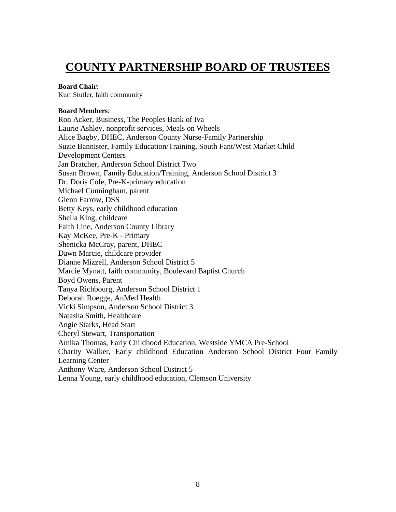## **COUNTY PARTNERSHIP BOARD OF TRUSTEES**

#### **Board Chair**:

Kurt Stutler, faith community

#### **Board Members**:

Ron Acker, Business, The Peoples Bank of Iva Laurie Ashley, nonprofit services, Meals on Wheels Alice Bagby, DHEC, Anderson County Nurse-Family Partnership Suzie Bannister, Family Education/Training, South Fant/West Market Child Development Centers Jan Bratcher, Anderson School District Two Susan Brown, Family Education/Training, Anderson School District 3 Dr. Doris Cole, Pre-K-primary education Michael Cunningham, parent Glenn Farrow, DSS Betty Keys, early childhood education Sheila King, childcare Faith Line, Anderson County Library Kay McKee, Pre-K - Primary Shenicka McCray, parent, DHEC Dawn Marcie, childcare provider Dianne Mizzell, Anderson School District 5 Marcie Mynatt, faith community, Boulevard Baptist Church Boyd Owens, Parent Tanya Richbourg, Anderson School District 1 Deborah Roegge, AnMed Health Vicki Simpson, Anderson School District 3 Natasha Smith, Healthcare Angie Starks, Head Start Cheryl Stewart, Transportation Amika Thomas, Early Childhood Education, Westside YMCA Pre-School Charity Walker, Early childhood Education Anderson School District Four Family Learning Center Anthony Ware, Anderson School District 5 Lenna Young, early childhood education, Clemson University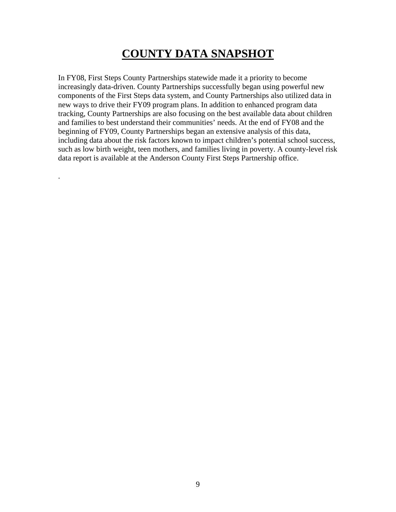# **COUNTY DATA SNAPSHOT**

In FY08, First Steps County Partnerships statewide made it a priority to become increasingly data-driven. County Partnerships successfully began using powerful new components of the First Steps data system, and County Partnerships also utilized data in new ways to drive their FY09 program plans. In addition to enhanced program data tracking, County Partnerships are also focusing on the best available data about children and families to best understand their communities' needs. At the end of FY08 and the beginning of FY09, County Partnerships began an extensive analysis of this data, including data about the risk factors known to impact children's potential school success, such as low birth weight, teen mothers, and families living in poverty. A county-level risk data report is available at the Anderson County First Steps Partnership office.

.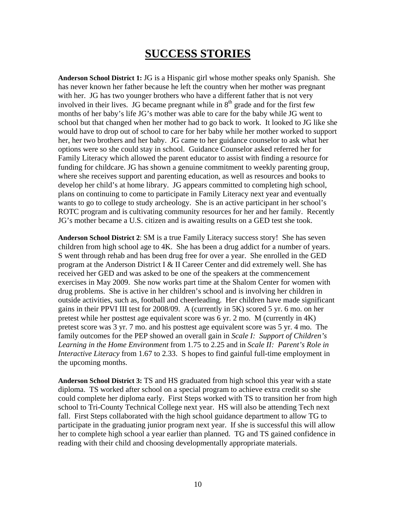# **SUCCESS STORIES**

**Anderson School District 1:** JG is a Hispanic girl whose mother speaks only Spanish. She has never known her father because he left the country when her mother was pregnant with her. JG has two younger brothers who have a different father that is not very involved in their lives. JG became pregnant while in  $8<sup>th</sup>$  grade and for the first few months of her baby's life JG's mother was able to care for the baby while JG went to school but that changed when her mother had to go back to work. It looked to JG like she would have to drop out of school to care for her baby while her mother worked to support her, her two brothers and her baby. JG came to her guidance counselor to ask what her options were so she could stay in school. Guidance Counselor asked referred her for Family Literacy which allowed the parent educator to assist with finding a resource for funding for childcare. JG has shown a genuine commitment to weekly parenting group, where she receives support and parenting education, as well as resources and books to develop her child's at home library. JG appears committed to completing high school, plans on continuing to come to participate in Family Literacy next year and eventually wants to go to college to study archeology. She is an active participant in her school's ROTC program and is cultivating community resources for her and her family. Recently JG's mother became a U.S. citizen and is awaiting results on a GED test she took.

**Anderson School District 2**: SM is a true Family Literacy success story! She has seven children from high school age to 4K. She has been a drug addict for a number of years. S went through rehab and has been drug free for over a year. She enrolled in the GED program at the Anderson District I & II Career Center and did extremely well. She has received her GED and was asked to be one of the speakers at the commencement exercises in May 2009. She now works part time at the Shalom Center for women with drug problems. She is active in her children's school and is involving her children in outside activities, such as, football and cheerleading. Her children have made significant gains in their PPVI III test for 2008/09. A (currently in 5K) scored 5 yr. 6 mo. on her pretest while her posttest age equivalent score was 6 yr. 2 mo. M (currently in 4K) pretest score was 3 yr. 7 mo. and his posttest age equivalent score was 5 yr. 4 mo. The family outcomes for the PEP showed an overall gain in *Scale I: Support of Children's Learning in the Home Environment* from 1.75 to 2.25 and in *Scale II: Parent's Role in Interactive Literacy* from 1.67 to 2.33. S hopes to find gainful full-time employment in the upcoming months.

**Anderson School District 3:** TS and HS graduated from high school this year with a state diploma. TS worked after school on a special program to achieve extra credit so she could complete her diploma early. First Steps worked with TS to transition her from high school to Tri-County Technical College next year. HS will also be attending Tech next fall. First Steps collaborated with the high school guidance department to allow TG to participate in the graduating junior program next year. If she is successful this will allow her to complete high school a year earlier than planned. TG and TS gained confidence in reading with their child and choosing developmentally appropriate materials.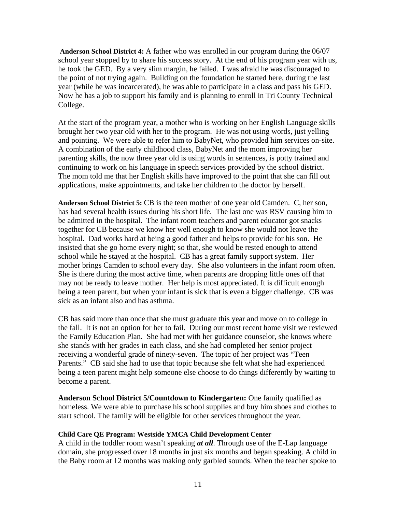**Anderson School District 4:** A father who was enrolled in our program during the 06/07 school year stopped by to share his success story. At the end of his program year with us, he took the GED. By a very slim margin, he failed. I was afraid he was discouraged to the point of not trying again. Building on the foundation he started here, during the last year (while he was incarcerated), he was able to participate in a class and pass his GED. Now he has a job to support his family and is planning to enroll in Tri County Technical College.

At the start of the program year, a mother who is working on her English Language skills brought her two year old with her to the program. He was not using words, just yelling and pointing. We were able to refer him to BabyNet, who provided him services on-site. A combination of the early childhood class, BabyNet and the mom improving her parenting skills, the now three year old is using words in sentences, is potty trained and continuing to work on his language in speech services provided by the school district. The mom told me that her English skills have improved to the point that she can fill out applications, make appointments, and take her children to the doctor by herself.

**Anderson School District 5:** CB is the teen mother of one year old Camden. C, her son, has had several health issues during his short life. The last one was RSV causing him to be admitted in the hospital. The infant room teachers and parent educator got snacks together for CB because we know her well enough to know she would not leave the hospital. Dad works hard at being a good father and helps to provide for his son. He insisted that she go home every night; so that, she would be rested enough to attend school while he stayed at the hospital. CB has a great family support system. Her mother brings Camden to school every day. She also volunteers in the infant room often. She is there during the most active time, when parents are dropping little ones off that may not be ready to leave mother. Her help is most appreciated. It is difficult enough being a teen parent, but when your infant is sick that is even a bigger challenge. CB was sick as an infant also and has asthma.

CB has said more than once that she must graduate this year and move on to college in the fall. It is not an option for her to fail. During our most recent home visit we reviewed the Family Education Plan. She had met with her guidance counselor, she knows where she stands with her grades in each class, and she had completed her senior project receiving a wonderful grade of ninety-seven. The topic of her project was "Teen Parents." CB said she had to use that topic because she felt what she had experienced being a teen parent might help someone else choose to do things differently by waiting to become a parent.

**Anderson School District 5/Countdown to Kindergarten:** One family qualified as homeless. We were able to purchase his school supplies and buy him shoes and clothes to start school. The family will be eligible for other services throughout the year.

#### **Child Care QE Program: Westside YMCA Child Development Center**

A child in the toddler room wasn't speaking *at all*. Through use of the E-Lap language domain, she progressed over 18 months in just six months and began speaking. A child in the Baby room at 12 months was making only garbled sounds. When the teacher spoke to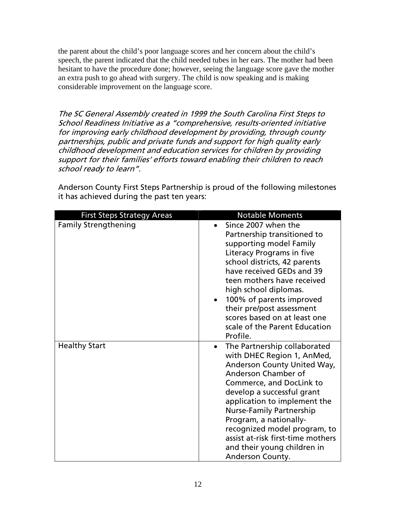the parent about the child's poor language scores and her concern about the child's speech, the parent indicated that the child needed tubes in her ears. The mother had been hesitant to have the procedure done; however, seeing the language score gave the mother an extra push to go ahead with surgery. The child is now speaking and is making considerable improvement on the language score.

The SC General Assembly created in 1999 the South Carolina First Steps to School Readiness Initiative as a "comprehensive, results-oriented initiative for improving early childhood development by providing, through county partnerships, public and private funds and support for high quality early childhood development and education services for children by providing support for their families' efforts toward enabling their children to reach school ready to learn".

Anderson County First Steps Partnership is proud of the following milestones it has achieved during the past ten years:

| <b>First Steps Strategy Areas</b> | <b>Notable Moments</b>                    |
|-----------------------------------|-------------------------------------------|
| <b>Family Strengthening</b>       | Since 2007 when the                       |
|                                   | Partnership transitioned to               |
|                                   | supporting model Family                   |
|                                   | Literacy Programs in five                 |
|                                   | school districts, 42 parents              |
|                                   | have received GEDs and 39                 |
|                                   | teen mothers have received                |
|                                   | high school diplomas.                     |
|                                   | 100% of parents improved<br>$\bullet$     |
|                                   | their pre/post assessment                 |
|                                   | scores based on at least one              |
|                                   | scale of the Parent Education             |
|                                   | Profile.                                  |
| <b>Healthy Start</b>              | The Partnership collaborated<br>$\bullet$ |
|                                   | with DHEC Region 1, AnMed,                |
|                                   | Anderson County United Way,               |
|                                   | Anderson Chamber of                       |
|                                   | Commerce, and DocLink to                  |
|                                   | develop a successful grant                |
|                                   | application to implement the              |
|                                   | <b>Nurse-Family Partnership</b>           |
|                                   | Program, a nationally-                    |
|                                   | recognized model program, to              |
|                                   | assist at-risk first-time mothers         |
|                                   | and their young children in               |
|                                   | Anderson County.                          |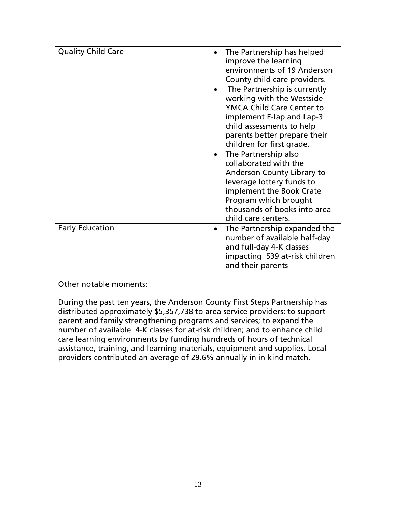| <b>Quality Child Care</b> | The Partnership has helped<br>$\bullet$<br>improve the learning<br>environments of 19 Anderson<br>County child care providers.<br>The Partnership is currently<br>working with the Westside<br><b>YMCA Child Care Center to</b><br>implement E-lap and Lap-3<br>child assessments to help<br>parents better prepare their<br>children for first grade.<br>The Partnership also<br>collaborated with the<br>Anderson County Library to<br>leverage lottery funds to |
|---------------------------|--------------------------------------------------------------------------------------------------------------------------------------------------------------------------------------------------------------------------------------------------------------------------------------------------------------------------------------------------------------------------------------------------------------------------------------------------------------------|
|                           | implement the Book Crate<br>Program which brought<br>thousands of books into area<br>child care centers.                                                                                                                                                                                                                                                                                                                                                           |
| <b>Early Education</b>    | The Partnership expanded the<br>number of available half-day<br>and full-day 4-K classes<br>impacting 539 at-risk children<br>and their parents                                                                                                                                                                                                                                                                                                                    |

Other notable moments:

During the past ten years, the Anderson County First Steps Partnership has distributed approximately \$5,357,738 to area service providers: to support parent and family strengthening programs and services; to expand the number of available 4-K classes for at-risk children; and to enhance child care learning environments by funding hundreds of hours of technical assistance, training, and learning materials, equipment and supplies. Local providers contributed an average of 29.6% annually in in-kind match.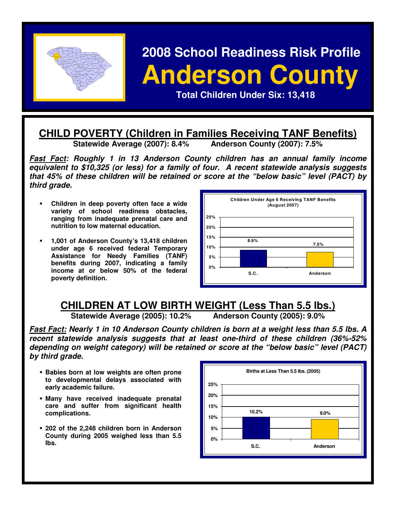

# **2008 School Readiness Risk Profile Panderson County 1989 Anderson County POSSESSION CONTROLLER CHILDREN CONTROLLER CHILDREN CONTROLLER CHILDREN CONTROLLER CHILDREN CONTROLLER CHILDREN CONTROLLER CHILDREN CONTROLLER CHILDREN CONTROLLER CHILDREN CONTROLLER CHILDREN CONTROLLER CHILDREN CONTROLLER**

# **CHILD POVERTY (Children in Families Receiving TANF Benefits)**<br>Statewide Average (2007): 8.4% Anderson County (2007): 7.5%

**Statewide Average (2007): 8.4%** 

**Fast Fact: Roughly 1 in 13 Anderson County children has an annual family income equivalent to \$10,325 (or less) for a family of four. A recent statewide analysis suggests that 45% of these children will be retained or score at the "below basic" level (PACT) by third grade.** 

- **Children in deep poverty often face a wide variety of school readiness obstacles, ranging from inadequate prenatal care and nutrition to low maternal education.**
- **1,001 of Anderson County's 13,418 children under age 6 received federal Temporary Assistance for Needy Families (TANF) benefits during 2007, indicating a family income at or below 50% of the federal poverty definition.**



# **CHILDREN AT LOW BIRTH WEIGHT (Less Than 5.5 lbs.)**

**Statewide Average (2005): 10.2% Anderson County (2005): 9.0%** 

**Fast Fact: Nearly 1 in 10 Anderson County children is born at a weight less than 5.5 lbs. A recent statewide analysis suggests that at least one-third of these children (36%-52% depending on weight category) will be retained or score at the "below basic" level (PACT) by third grade.** 

- **Babies born at low weights are often prone to developmental delays associated with early academic failure.**
- **Many have received inadequate prenatal care and suffer from significant health complications.**
- **202 of the 2,248 children born in Anderson County during 2005 weighed less than 5.5 lbs.**